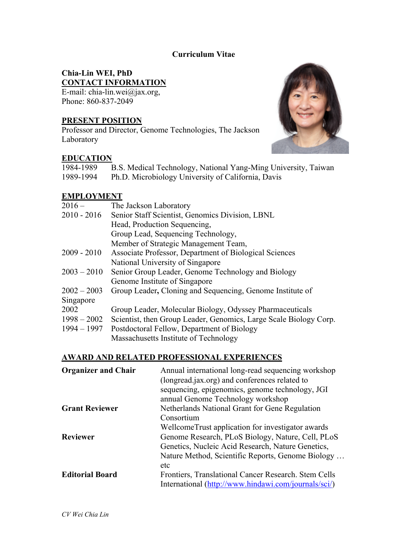### **Curriculum Vitae**

# **Chia-Lin WEI, PhD CONTACT INFORMATION**

E-mail: chia-lin.wei@jax.org, Phone: 860-837-2049

# **PRESENT POSITION**

Professor and Director, Genome Technologies, The Jackson Laboratory

## **EDUCATION**



| 1984-1989 | B.S. Medical Technology, National Yang-Ming University, Taiwan |
|-----------|----------------------------------------------------------------|
| 1989-1994 | Ph.D. Microbiology University of California, Davis             |

#### **EMPLOYMENT**

| $2016 -$      | The Jackson Laboratory                                            |
|---------------|-------------------------------------------------------------------|
| $2010 - 2016$ | Senior Staff Scientist, Genomics Division, LBNL                   |
|               | Head, Production Sequencing,                                      |
|               | Group Lead, Sequencing Technology,                                |
|               | Member of Strategic Management Team,                              |
| $2009 - 2010$ | Associate Professor, Department of Biological Sciences            |
|               | National University of Singapore                                  |
| $2003 - 2010$ | Senior Group Leader, Genome Technology and Biology                |
|               | Genome Institute of Singapore                                     |
| $2002 - 2003$ | Group Leader, Cloning and Sequencing, Genome Institute of         |
| Singapore     |                                                                   |
| 2002          | Group Leader, Molecular Biology, Odyssey Pharmaceuticals          |
| $1998 - 2002$ | Scientist, then Group Leader, Genomics, Large Scale Biology Corp. |
| $1994 - 1997$ | Postdoctoral Fellow, Department of Biology                        |
|               | Massachusetts Institute of Technology                             |

### **AWARD AND RELATED PROFESSIONAL EXPERIENCES**

| <b>Organizer and Chair</b> | Annual international long-read sequencing workshop   |
|----------------------------|------------------------------------------------------|
|                            | (longread.jax.org) and conferences related to        |
|                            | sequencing, epigenomics, genome technology, JGI      |
|                            | annual Genome Technology workshop                    |
| <b>Grant Reviewer</b>      | Netherlands National Grant for Gene Regulation       |
|                            | Consortium                                           |
|                            | WellcomeTrust application for investigator awards    |
| <b>Reviewer</b>            | Genome Research, PLoS Biology, Nature, Cell, PLoS    |
|                            | Genetics, Nucleic Acid Research, Nature Genetics,    |
|                            | Nature Method, Scientific Reports, Genome Biology    |
|                            | etc                                                  |
| <b>Editorial Board</b>     | Frontiers, Translational Cancer Research. Stem Cells |
|                            | International (http://www.hindawi.com/journals/sci/) |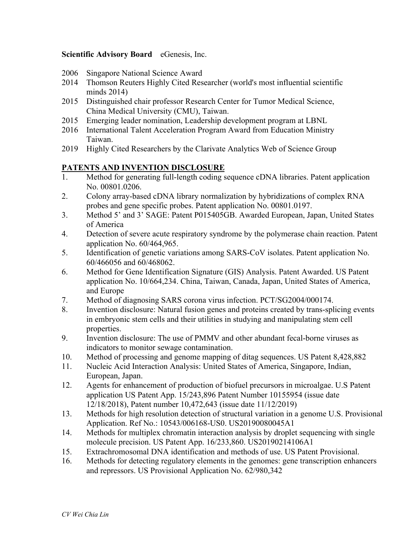#### **Scientific Advisory Board** eGenesis, Inc.

- 2006 Singapore National Science Award
- 2014 Thomson Reuters Highly Cited Researcher (world's most influential scientific minds 2014)
- 2015 Distinguished chair professor Research Center for Tumor Medical Science, China Medical University (CMU), Taiwan.
- 2015 Emerging leader nomination, Leadership development program at LBNL
- 2016 International Talent Acceleration Program Award from Education Ministry Taiwan.
- 2019 Highly Cited Researchers by the Clarivate Analytics Web of Science Group

#### **PATENTS AND INVENTION DISCLOSURE**

- 1. Method for generating full-length coding sequence cDNA libraries. Patent application No. 00801.0206.
- 2. Colony array-based cDNA library normalization by hybridizations of complex RNA probes and gene specific probes. Patent application No. 00801.0197.
- 3. Method 5' and 3' SAGE: Patent P015405GB. Awarded European, Japan, United States of America
- 4. Detection of severe acute respiratory syndrome by the polymerase chain reaction. Patent application No. 60/464,965.
- 5. Identification of genetic variations among SARS-CoV isolates. Patent application No. 60/466056 and 60/468062.
- 6. Method for Gene Identification Signature (GIS) Analysis. Patent Awarded. US Patent application No. 10/664,234. China, Taiwan, Canada, Japan, United States of America, and Europe
- 7. Method of diagnosing SARS corona virus infection. PCT/SG2004/000174.
- 8. Invention disclosure: Natural fusion genes and proteins created by trans-splicing events in embryonic stem cells and their utilities in studying and manipulating stem cell properties.
- 9. Invention disclosure: The use of PMMV and other abundant fecal-borne viruses as indicators to monitor sewage contamination.
- 10. Method of processing and genome mapping of ditag sequences. US Patent 8,428,882
- 11. Nucleic Acid Interaction Analysis: United States of America, Singapore, Indian, European, Japan.
- 12. Agents for enhancement of production of biofuel precursors in microalgae. U.S Patent application US Patent App. 15/243,896 Patent Number 10155954 (issue date 12/18/2018), Patent number 10,472,643 (issue date 11/12/2019)
- 13. Methods for high resolution detection of structural variation in a genome U.S. Provisional Application. Ref No.: 10543/006168-US0. US20190080045A1
- 14. Methods for multiplex chromatin interaction analysis by droplet sequencing with single molecule precision. US Patent App. 16/233,860. US20190214106A1
- 15. Extrachromosomal DNA identification and methods of use. US Patent Provisional.
- 16. Methods for detecting regulatory elements in the genomes: gene transcription enhancers and repressors. US Provisional Application No. 62/980,342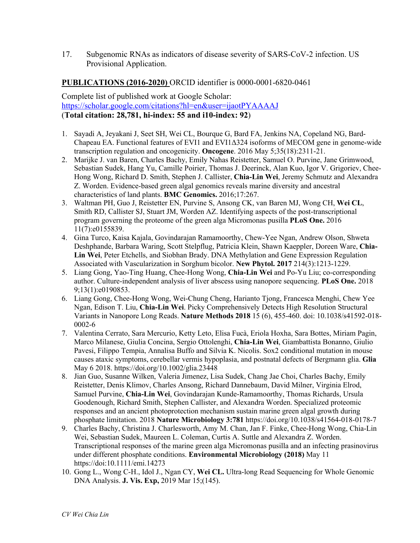17. Subgenomic RNAs as indicators of disease severity of SARS-CoV-2 infection. US Provisional Application.

#### **PUBLICATIONS (2016-2020)** ORCID identifier is 0000-0001-6820-0461

Complete list of published work at Google Scholar: https://scholar.google.com/citations?hl=en&user=ijaotPYAAAAJ (**Total citation: 28,781, hi-index: 55 and i10-index: 92**)

- 1. Sayadi A, Jeyakani J, Seet SH, Wei CL, Bourque G, Bard FA, Jenkins NA, Copeland NG, Bard-Chapeau EA. Functional features of EVI1 and EVI1Δ324 isoforms of MECOM gene in genome-wide transcription regulation and oncogenicity. **Oncogene**. 2016 May 5;35(18):2311-21.
- 2. Marijke J. van Baren, Charles Bachy, Emily Nahas Reistetter, Samuel O. Purvine, Jane Grimwood, Sebastian Sudek, Hang Yu, Camille Poirier, Thomas J. Deerinck, Alan Kuo, Igor V. Grigoriev, Chee-Hong Wong, Richard D. Smith, Stephen J. Callister, **Chia-Lin Wei**, Jeremy Schmutz and Alexandra Z. Worden. Evidence-based green algal genomics reveals marine diversity and ancestral characteristics of land plants. **BMC Genomics.** 2016;17:267.
- 3. Waltman PH, Guo J, Reistetter EN, Purvine S, Ansong CK, van Baren MJ, Wong CH, **Wei CL**, Smith RD, Callister SJ, Stuart JM, Worden AZ. Identifying aspects of the post-transcriptional program governing the proteome of the green alga Micromonas pusilla **PLoS One.** 2016 11(7):e0155839.
- 4. Gina Turco, Kaisa Kajala, Govindarajan Ramamoorthy, Chew-Yee Ngan, Andrew Olson, Shweta Deshphande, Barbara Waring, Scott Stelpflug, Patricia Klein, Shawn Kaeppler, Doreen Ware, **Chia-Lin Wei**, Peter Etchells, and Siobhan Brady. DNA Methylation and Gene Expression Regulation Associated with Vascularization in Sorghum bicolor. **New Phytol. 2017** 214(3):1213-1229.
- 5. Liang Gong, Yao-Ting Huang, Chee-Hong Wong, **Chia-Lin Wei** and Po-Yu Liu; co-corresponding author. Culture-independent analysis of liver abscess using nanopore sequencing. **PLoS One.** 2018 9;13(1):e0190853.
- 6. Liang Gong, Chee-Hong Wong, Wei-Chung Cheng, Harianto Tjong, Francesca Menghi, Chew Yee Ngan, Edison T. Liu, **Chia-Lin Wei**. Picky Comprehensively Detects High Resolution Structural Variants in Nanopore Long Reads. **Nature Methods 2018** 15 (6), 455-460. doi: 10.1038/s41592-018- 0002-6
- 7. Valentina Cerrato, Sara Mercurio, Ketty Leto, Elisa Fucà, Eriola Hoxha, Sara Bottes, Miriam Pagin, Marco Milanese, Giulia Concina, Sergio Ottolenghi, **Chia-Lin Wei**, Giambattista Bonanno, Giulio Pavesi, Filippo Tempia, Annalisa Buffo and Silvia K. Nicolis. Sox2 conditional mutation in mouse causes ataxic symptoms, cerebellar vermis hypoplasia, and postnatal defects of Bergmann glia. **Glia** May 6 2018. https://doi.org/10.1002/glia.23448
- 8. Jian Guo, Susanne Wilken, Valeria Jimenez, Lisa Sudek, Chang Jae Choi, Charles Bachy, Emily Reistetter, Denis Klimov, Charles Ansong, Richard Dannebaum, David Milner, Virginia Elrod, Samuel Purvine, **Chia-Lin Wei**, Govindarajan Kunde-Ramamoorthy, Thomas Richards, Ursula Goodenough, Richard Smith, Stephen Callister, and Alexandra Worden. Specialized proteomic responses and an ancient photoprotection mechanism sustain marine green algal growth during phosphate limitation. 2018 **Nature Microbiology 3:781** https://doi.org/10.1038/s41564-018-0178-7
- 9. Charles Bachy, Christina J. Charlesworth, Amy M. Chan, Jan F. Finke, Chee-Hong Wong, Chia-Lin Wei, Sebastian Sudek, Maureen L. Coleman, Curtis A. Suttle and Alexandra Z. Worden. Transcriptional responses of the marine green alga Micromonas pusilla and an infecting prasinovirus under different phosphate conditions. **Environmental Microbiology (2018)** May 11 https://doi:10.1111/emi.14273
- 10. Gong L., Wong C-H., Idol J., Ngan CY, **Wei CL.** Ultra-long Read Sequencing for Whole Genomic DNA Analysis. **J. Vis. Exp,** 2019 Mar 15;(145).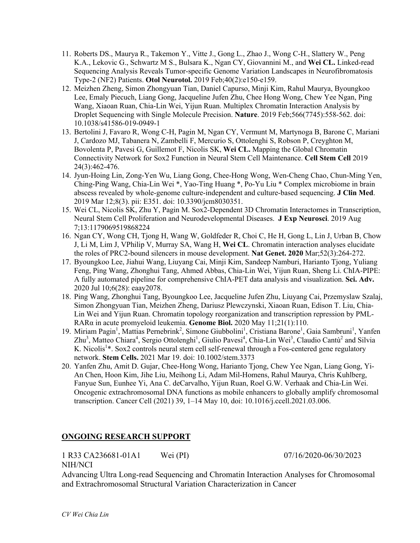- 11. Roberts DS., Maurya R., Takemon Y., Vitte J., Gong L., Zhao J., Wong C-H., Slattery W., Peng K.A., Lekovic G., Schwartz M S., Bulsara K., Ngan CY, Giovannini M., and **Wei CL.** Linked-read Sequencing Analysis Reveals Tumor-specific Genome Variation Landscapes in Neurofibromatosis Type-2 (NF2) Patients. **Otol Neurotol.** 2019 Feb;40(2):e150-e159.
- 12. Meizhen Zheng, Simon Zhongyuan Tian, Daniel Capurso, Minji Kim, Rahul Maurya, Byoungkoo Lee, Emaly Piecuch, Liang Gong, Jacqueline Jufen Zhu, Chee Hong Wong, Chew Yee Ngan, Ping Wang, Xiaoan Ruan, Chia-Lin Wei, Yijun Ruan. Multiplex Chromatin Interaction Analysis by Droplet Sequencing with Single Molecule Precision. **Nature**. 2019 Feb;566(7745):558-562. doi: 10.1038/s41586-019-0949-1
- 13. Bertolini J, Favaro R, Wong C-H, Pagin M, Ngan CY, Vermunt M, Martynoga B, Barone C, Mariani J, Cardozo MJ, Tabanera N, Zambelli F, Mercurio S, Ottolenghi S, Robson P, Creyghton M, Bovolenta P, Pavesi G, Guillemot F, Nicolis SK, **Wei CL.** Mapping the Global Chromatin Connectivity Network for Sox2 Function in Neural Stem Cell Maintenance. **Cell Stem Cell** 2019 24(3):462-476.
- 14. Jyun-Hoing Lin, Zong-Yen Wu, Liang Gong, Chee-Hong Wong, Wen-Cheng Chao, Chun-Ming Yen, Ching-Ping Wang, Chia-Lin Wei \*, Yao-Ting Huang \*, Po-Yu Liu \* Complex microbiome in brain abscess revealed by whole-genome culture-independent and culture-based sequencing. **J Clin Med**. 2019 Mar 12;8(3). pii: E351. doi: 10.3390/jcm8030351.
- 15. Wei CL, Nicolis SK, Zhu Y, Pagin M. Sox2-Dependent 3D Chromatin Interactomes in Transcription, Neural Stem Cell Proliferation and Neurodevelopmental Diseases. **J Exp Neurosci**. 2019 Aug 7;13:1179069519868224
- 16. Ngan CY, Wong CH, Tjong H, Wang W, Goldfeder R, Choi C, He H, Gong L, Lin J, Urban B, Chow J, Li M, Lim J, VPhilip V, Murray SA, Wang H, **Wei CL**. Chromatin interaction analyses elucidate the roles of PRC2-bound silencers in mouse development. **Nat Genet. 2020** Mar;52(3):264-272.
- 17. Byoungkoo Lee, Jiahui Wang, Liuyang Cai, Minji Kim, Sandeep Namburi, Harianto Tjong, Yuliang Feng, Ping Wang, Zhonghui Tang, Ahmed Abbas, Chia-Lin Wei, Yijun Ruan, Sheng Li. ChIA-PIPE: A fully automated pipeline for comprehensive ChIA-PET data analysis and visualization. **Sci. Adv.** 2020 Jul 10;6(28): eaay2078.
- 18. Ping Wang, Zhonghui Tang, Byoungkoo Lee, Jacqueline Jufen Zhu, Liuyang Cai, Przemyslaw Szalaj, Simon Zhongyuan Tian, Meizhen Zheng, Dariusz Plewczynski, Xiaoan Ruan, Edison T. Liu, Chia-Lin Wei and Yijun Ruan. Chromatin topology reorganization and transcription repression by PML-RARα in acute promyeloid leukemia. **Genome Biol.** 2020 May 11;21(1):110.
- 19. Miriam Pagin<sup>1</sup>, Mattias Pernebrink<sup>2</sup>, Simone Giubbolini<sup>1</sup>, Cristiana Barone<sup>1</sup>, Gaia Sambruni<sup>1</sup>, Yanfen Zhu<sup>3</sup>, Matteo Chiara<sup>4</sup>, Sergio Ottolenghi<sup>1</sup>, Giulio Pavesi<sup>4</sup>, Chia-Lin Wei<sup>3</sup>, Claudio Cantù<sup>2</sup> and Silvia K. Nicolis<sup>1</sup>\*. Sox2 controls neural stem cell self-renewal through a Fos-centered gene regulatory network. **Stem Cells.** 2021 Mar 19. doi: 10.1002/stem.3373
- 20. Yanfen Zhu, Amit D. Gujar, Chee-Hong Wong, Harianto Tjong, Chew Yee Ngan, Liang Gong, Yi-An Chen, Hoon Kim, Jihe Liu, Meihong Li, Adam Mil-Homens, Rahul Maurya, Chris Kuhlberg, Fanyue Sun, Eunhee Yi, Ana C. deCarvalho, Yijun Ruan, Roel G.W. Verhaak and Chia-Lin Wei. Oncogenic extrachromosomal DNA functions as mobile enhancers to globally amplify chromosomal transcription. Cancer Cell (2021) 39, 1–14 May 10, doi: 10.1016/j.ccell.2021.03.006.

# **ONGOING RESEARCH SUPPORT**

1 R33 CA236681-01A1 Wei (PI) 07/16/2020-06/30/2023 NIH/NCI

Advancing Ultra Long-read Sequencing and Chromatin Interaction Analyses for Chromosomal and Extrachromosomal Structural Variation Characterization in Cancer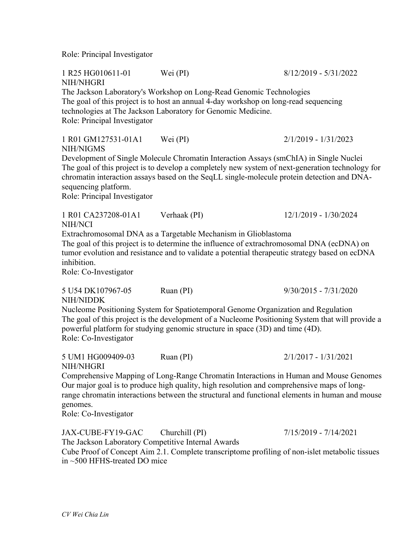Role: Principal Investigator

1 R25 HG010611-01 Wei (PI) 8/12/2019 - 5/31/2022 NIH/NHGRI The Jackson Laboratory's Workshop on Long-Read Genomic Technologies The goal of this project is to host an annual 4-day workshop on long-read sequencing technologies at The Jackson Laboratory for Genomic Medicine. Role: Principal Investigator 1 R01 GM127531-01A1 Wei (PI) 2/1/2019 - 1/31/2023 NIH/NIGMS Development of Single Molecule Chromatin Interaction Assays (smChIA) in Single Nuclei The goal of this project is to develop a completely new system of next-generation technology for chromatin interaction assays based on the SeqLL single-molecule protein detection and DNAsequencing platform. Role: Principal Investigator 1 R01 CA237208-01A1 Verhaak (PI) 12/1/2019 - 1/30/2024 NIH/NCI Extrachromosomal DNA as a Targetable Mechanism in Glioblastoma The goal of this project is to determine the influence of extrachromosomal DNA (ecDNA) on tumor evolution and resistance and to validate a potential therapeutic strategy based on ecDNA inhibition. Role: Co-Investigator 5 U54 DK107967-05 Ruan (PI) 9/30/2015 - 7/31/2020 NIH/NIDDK Nucleome Positioning System for Spatiotemporal Genome Organization and Regulation The goal of this project is the development of a Nucleome Positioning System that will provide a powerful platform for studying genomic structure in space (3D) and time (4D). Role: Co-Investigator 5 UM1 HG009409-03 Ruan (PI) 2/1/2017 - 1/31/2021 NIH/NHGRI Comprehensive Mapping of Long-Range Chromatin Interactions in Human and Mouse Genomes Our major goal is to produce high quality, high resolution and comprehensive maps of longrange chromatin interactions between the structural and functional elements in human and mouse genomes. Role: Co-Investigator

JAX-CUBE-FY19-GAC Churchill (PI) 7/15/2019 - 7/14/2021 The Jackson Laboratory Competitive Internal Awards Cube Proof of Concept Aim 2.1. Complete transcriptome profiling of non-islet metabolic tissues in ~500 HFHS-treated DO mice